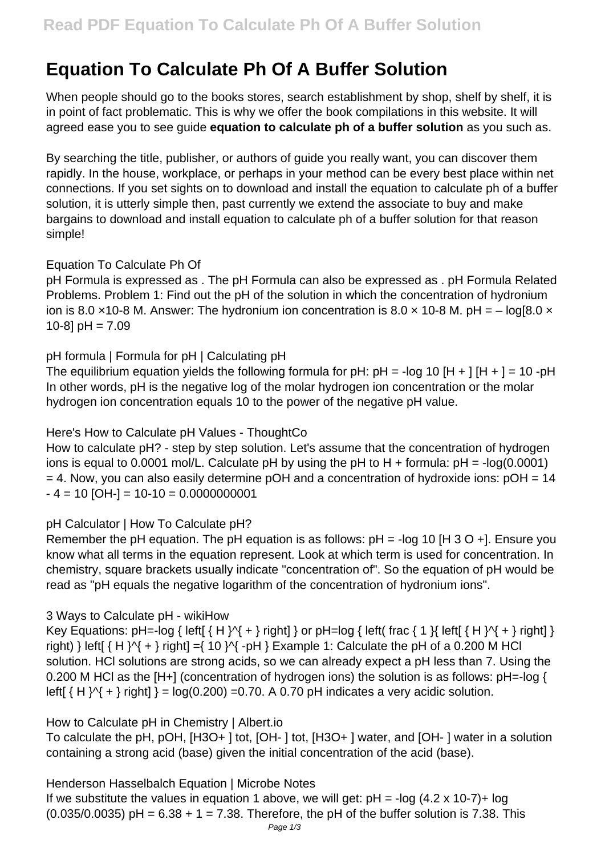# **Equation To Calculate Ph Of A Buffer Solution**

When people should go to the books stores, search establishment by shop, shelf by shelf, it is in point of fact problematic. This is why we offer the book compilations in this website. It will agreed ease you to see guide **equation to calculate ph of a buffer solution** as you such as.

By searching the title, publisher, or authors of guide you really want, you can discover them rapidly. In the house, workplace, or perhaps in your method can be every best place within net connections. If you set sights on to download and install the equation to calculate ph of a buffer solution, it is utterly simple then, past currently we extend the associate to buy and make bargains to download and install equation to calculate ph of a buffer solution for that reason simple!

## Equation To Calculate Ph Of

pH Formula is expressed as . The pH Formula can also be expressed as . pH Formula Related Problems. Problem 1: Find out the pH of the solution in which the concentration of hydronium ion is 8.0  $\times$ 10-8 M. Answer: The hydronium ion concentration is 8.0  $\times$  10-8 M. pH = – log[8.0  $\times$ 10-8]  $pH = 7.09$ 

## pH formula | Formula for pH | Calculating pH

The equilibrium equation yields the following formula for pH: pH = -log 10 [H + ] [H + ] = 10 -pH In other words, pH is the negative log of the molar hydrogen ion concentration or the molar hydrogen ion concentration equals 10 to the power of the negative pH value.

## Here's How to Calculate pH Values - ThoughtCo

How to calculate pH? - step by step solution. Let's assume that the concentration of hydrogen ions is equal to 0.0001 mol/L. Calculate pH by using the pH to H + formula:  $pH = -log(0.0001)$  $= 4$ . Now, you can also easily determine pOH and a concentration of hydroxide ions:  $pOH = 14$  $- 4 = 10$  [OH-] = 10-10 = 0.0000000001

## pH Calculator | How To Calculate pH?

Remember the pH equation. The pH equation is as follows:  $pH = -log 10$  [H 3 O +]. Ensure you know what all terms in the equation represent. Look at which term is used for concentration. In chemistry, square brackets usually indicate "concentration of". So the equation of pH would be read as "pH equals the negative logarithm of the concentration of hydronium ions".

## 3 Ways to Calculate pH - wikiHow

Key Equations:  $pH = -log { letif { H }^{}Y + } right}$  or  $pH = log { letif{ and } H \}$  left( frac { 1 }{ left[ { H }^{ + } right] } right) } left[ $\{ H \}^{A}$  + } right] = $\{ 10 \}^{A}$  -pH } Example 1: Calculate the pH of a 0.200 M HCl solution. HCl solutions are strong acids, so we can already expect a pH less than 7. Using the 0.200 M HCl as the [H+] (concentration of hydrogen ions) the solution is as follows: pH=-log { left[  $\{ H \}$   $\{$  +  $\}$  right]  $\}$  = log(0.200) =0.70. A 0.70 pH indicates a very acidic solution.

## How to Calculate pH in Chemistry | Albert.io

To calculate the pH, pOH, [H3O+ ] tot, [OH- ] tot, [H3O+ ] water, and [OH- ] water in a solution containing a strong acid (base) given the initial concentration of the acid (base).

## Henderson Hasselbalch Equation | Microbe Notes

If we substitute the values in equation 1 above, we will get:  $pH = -log(4.2 \times 10-7) + log$  $(0.035/0.0035)$  pH =  $6.38 + 1 = 7.38$ . Therefore, the pH of the buffer solution is 7.38. This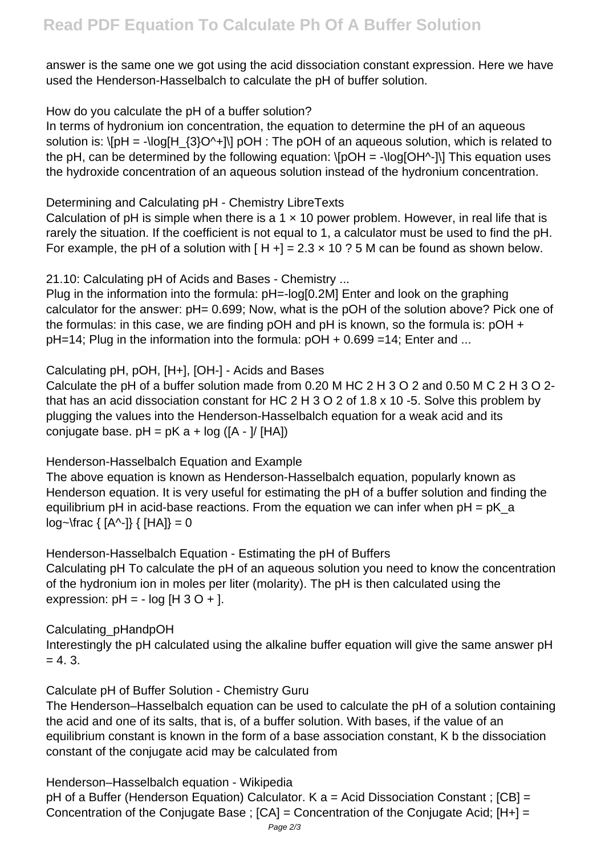answer is the same one we got using the acid dissociation constant expression. Here we have used the Henderson-Hasselbalch to calculate the pH of buffer solution.

How do you calculate the pH of a buffer solution?

In terms of hydronium ion concentration, the equation to determine the pH of an aqueous solution is:  $\left\{[pH] = -\right\}$   $\left\{3\right\}O^{\prime}+I\right\}$  pOH : The pOH of an aqueous solution, which is related to the pH, can be determined by the following equation:  $\[$ pOH = - $\[$ log[OH^-] $\]$ ] This equation uses the hydroxide concentration of an aqueous solution instead of the hydronium concentration.

Determining and Calculating pH - Chemistry LibreTexts

Calculation of pH is simple when there is a 1  $\times$  10 power problem. However, in real life that is rarely the situation. If the coefficient is not equal to 1, a calculator must be used to find the pH. For example, the pH of a solution with  $[H+] = 2.3 \times 10$  ? 5 M can be found as shown below.

21.10: Calculating pH of Acids and Bases - Chemistry ...

Plug in the information into the formula:  $pH = -log[0.2M]$  Enter and look on the graphing calculator for the answer: pH= 0.699; Now, what is the pOH of the solution above? Pick one of the formulas: in this case, we are finding pOH and pH is known, so the formula is: pOH +  $pH=14$ : Plug in the information into the formula:  $pOH + 0.699 = 14$ : Enter and ...

## Calculating pH, pOH, [H+], [OH-] - Acids and Bases

Calculate the pH of a buffer solution made from 0.20 M HC 2 H 3 O 2 and 0.50 M C 2 H 3 O 2 that has an acid dissociation constant for HC 2 H 3 O 2 of 1.8 x 10 -5. Solve this problem by plugging the values into the Henderson-Hasselbalch equation for a weak acid and its conjugate base.  $pH = pK a + log (A - 1/ [HA])$ 

## Henderson-Hasselbalch Equation and Example

The above equation is known as Henderson-Hasselbalch equation, popularly known as Henderson equation. It is very useful for estimating the pH of a buffer solution and finding the equilibrium pH in acid-base reactions. From the equation we can infer when  $pH = pK$  a log~\frac { [A^-]} { [HA]} = 0

Henderson-Hasselbalch Equation - Estimating the pH of Buffers Calculating pH To calculate the pH of an aqueous solution you need to know the concentration of the hydronium ion in moles per liter (molarity). The pH is then calculated using the expression:  $pH = - \log [H \cdot 3 \cdot O + ].$ 

Calculating\_pHandpOH

Interestingly the pH calculated using the alkaline buffer equation will give the same answer pH  $= 4.3.$ 

Calculate pH of Buffer Solution - Chemistry Guru

The Henderson–Hasselbalch equation can be used to calculate the pH of a solution containing the acid and one of its salts, that is, of a buffer solution. With bases, if the value of an equilibrium constant is known in the form of a base association constant, K b the dissociation constant of the conjugate acid may be calculated from

Henderson–Hasselbalch equation - Wikipedia

pH of a Buffer (Henderson Equation) Calculator. K a = Acid Dissociation Constant ; [CB] = Concentration of the Conjugate Base ; [CA] = Concentration of the Conjugate Acid; [H+] =